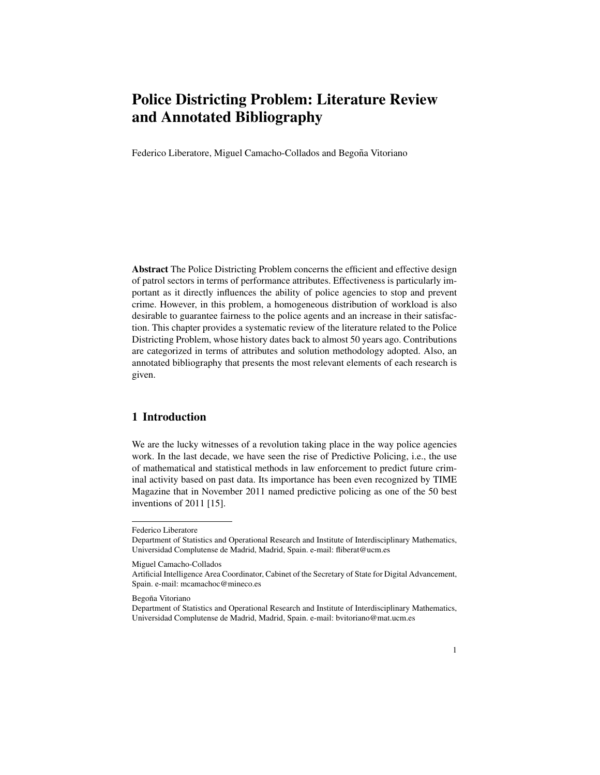Federico Liberatore, Miguel Camacho-Collados and Begoña Vitoriano

Abstract The Police Districting Problem concerns the efficient and effective design of patrol sectors in terms of performance attributes. Effectiveness is particularly important as it directly influences the ability of police agencies to stop and prevent crime. However, in this problem, a homogeneous distribution of workload is also desirable to guarantee fairness to the police agents and an increase in their satisfaction. This chapter provides a systematic review of the literature related to the Police Districting Problem, whose history dates back to almost 50 years ago. Contributions are categorized in terms of attributes and solution methodology adopted. Also, an annotated bibliography that presents the most relevant elements of each research is given.

# 1 Introduction

We are the lucky witnesses of a revolution taking place in the way police agencies work. In the last decade, we have seen the rise of Predictive Policing, i.e., the use of mathematical and statistical methods in law enforcement to predict future criminal activity based on past data. Its importance has been even recognized by TIME Magazine that in November 2011 named predictive policing as one of the 50 best inventions of 2011 [15].

Federico Liberatore

Department of Statistics and Operational Research and Institute of Interdisciplinary Mathematics, Universidad Complutense de Madrid, Madrid, Spain. e-mail: fliberat@ucm.es

Miguel Camacho-Collados

Artificial Intelligence Area Coordinator, Cabinet of the Secretary of State for Digital Advancement, Spain. e-mail: mcamachoc@mineco.es

Begoña Vitoriano

Department of Statistics and Operational Research and Institute of Interdisciplinary Mathematics, Universidad Complutense de Madrid, Madrid, Spain. e-mail: bvitoriano@mat.ucm.es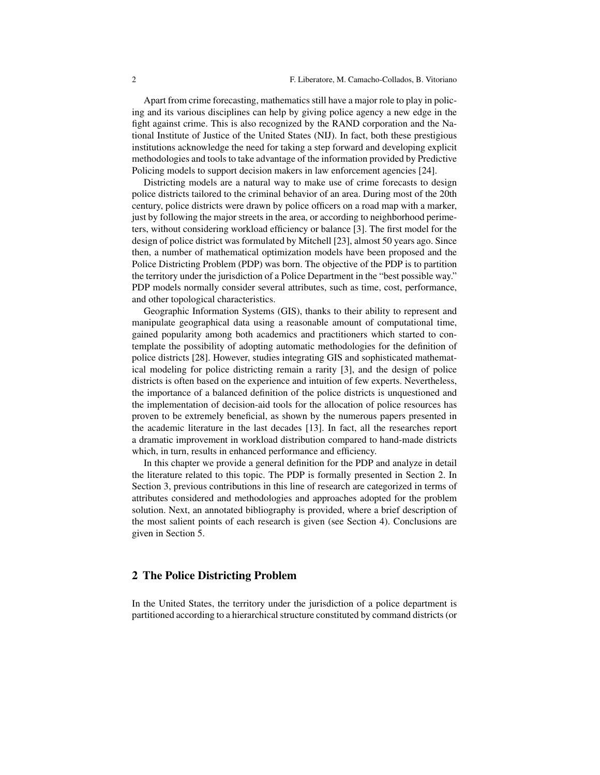Apart from crime forecasting, mathematics still have a major role to play in policing and its various disciplines can help by giving police agency a new edge in the fight against crime. This is also recognized by the RAND corporation and the National Institute of Justice of the United States (NIJ). In fact, both these prestigious institutions acknowledge the need for taking a step forward and developing explicit methodologies and tools to take advantage of the information provided by Predictive Policing models to support decision makers in law enforcement agencies [24].

Districting models are a natural way to make use of crime forecasts to design police districts tailored to the criminal behavior of an area. During most of the 20th century, police districts were drawn by police officers on a road map with a marker, just by following the major streets in the area, or according to neighborhood perimeters, without considering workload efficiency or balance [3]. The first model for the design of police district was formulated by Mitchell [23], almost 50 years ago. Since then, a number of mathematical optimization models have been proposed and the Police Districting Problem (PDP) was born. The objective of the PDP is to partition the territory under the jurisdiction of a Police Department in the "best possible way." PDP models normally consider several attributes, such as time, cost, performance, and other topological characteristics.

Geographic Information Systems (GIS), thanks to their ability to represent and manipulate geographical data using a reasonable amount of computational time, gained popularity among both academics and practitioners which started to contemplate the possibility of adopting automatic methodologies for the definition of police districts [28]. However, studies integrating GIS and sophisticated mathematical modeling for police districting remain a rarity [3], and the design of police districts is often based on the experience and intuition of few experts. Nevertheless, the importance of a balanced definition of the police districts is unquestioned and the implementation of decision-aid tools for the allocation of police resources has proven to be extremely beneficial, as shown by the numerous papers presented in the academic literature in the last decades [13]. In fact, all the researches report a dramatic improvement in workload distribution compared to hand-made districts which, in turn, results in enhanced performance and efficiency.

In this chapter we provide a general definition for the PDP and analyze in detail the literature related to this topic. The PDP is formally presented in Section 2. In Section 3, previous contributions in this line of research are categorized in terms of attributes considered and methodologies and approaches adopted for the problem solution. Next, an annotated bibliography is provided, where a brief description of the most salient points of each research is given (see Section 4). Conclusions are given in Section 5.

## 2 The Police Districting Problem

In the United States, the territory under the jurisdiction of a police department is partitioned according to a hierarchical structure constituted by command districts (or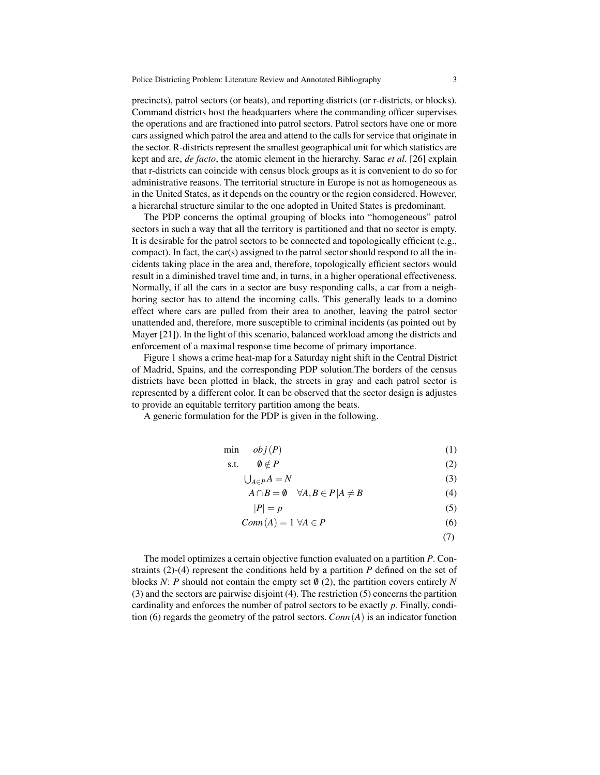precincts), patrol sectors (or beats), and reporting districts (or r-districts, or blocks). Command districts host the headquarters where the commanding officer supervises the operations and are fractioned into patrol sectors. Patrol sectors have one or more cars assigned which patrol the area and attend to the calls for service that originate in the sector. R-districts represent the smallest geographical unit for which statistics are kept and are, *de facto*, the atomic element in the hierarchy. Sarac *et al.* [26] explain that r-districts can coincide with census block groups as it is convenient to do so for administrative reasons. The territorial structure in Europe is not as homogeneous as in the United States, as it depends on the country or the region considered. However, a hierarchal structure similar to the one adopted in United States is predominant.

The PDP concerns the optimal grouping of blocks into "homogeneous" patrol sectors in such a way that all the territory is partitioned and that no sector is empty. It is desirable for the patrol sectors to be connected and topologically efficient (e.g., compact). In fact, the car(s) assigned to the patrol sector should respond to all the incidents taking place in the area and, therefore, topologically efficient sectors would result in a diminished travel time and, in turns, in a higher operational effectiveness. Normally, if all the cars in a sector are busy responding calls, a car from a neighboring sector has to attend the incoming calls. This generally leads to a domino effect where cars are pulled from their area to another, leaving the patrol sector unattended and, therefore, more susceptible to criminal incidents (as pointed out by Mayer [21]). In the light of this scenario, balanced workload among the districts and enforcement of a maximal response time become of primary importance.

Figure 1 shows a crime heat-map for a Saturday night shift in the Central District of Madrid, Spains, and the corresponding PDP solution.The borders of the census districts have been plotted in black, the streets in gray and each patrol sector is represented by a different color. It can be observed that the sector design is adjustes to provide an equitable territory partition among the beats.

A generic formulation for the PDP is given in the following.

$$
\min \quad obj(P) \tag{1}
$$

$$
\text{s.t.} \qquad \emptyset \notin P \tag{2}
$$

$$
\bigcup_{A \in P} A = N \tag{3}
$$

$$
A \cap B = \emptyset \quad \forall A, B \in P | A \neq B \tag{4}
$$

$$
|P| = p \tag{5}
$$

$$
Conn(A) = 1 \,\forall A \in P \tag{6}
$$

(7)

The model optimizes a certain objective function evaluated on a partition *P*. Constraints (2)-(4) represent the conditions held by a partition *P* defined on the set of blocks *N*: *P* should not contain the empty set  $\emptyset$  (2), the partition covers entirely *N* (3) and the sectors are pairwise disjoint (4). The restriction (5) concerns the partition cardinality and enforces the number of patrol sectors to be exactly *p*. Finally, condition (6) regards the geometry of the patrol sectors. *Conn*(*A*) is an indicator function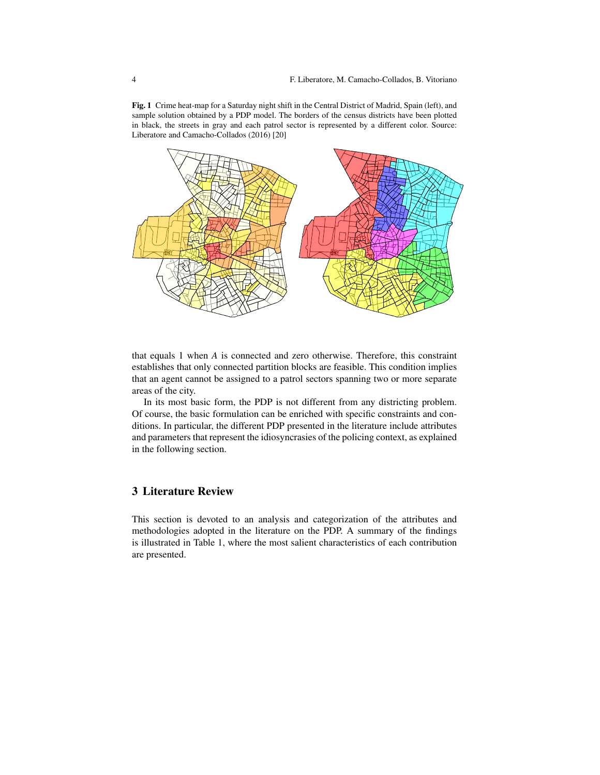Fig. 1 Crime heat-map for a Saturday night shift in the Central District of Madrid, Spain (left), and sample solution obtained by a PDP model. The borders of the census districts have been plotted in black, the streets in gray and each patrol sector is represented by a different color. Source: Liberatore and Camacho-Collados (2016) [20]



that equals 1 when *A* is connected and zero otherwise. Therefore, this constraint establishes that only connected partition blocks are feasible. This condition implies that an agent cannot be assigned to a patrol sectors spanning two or more separate areas of the city.

In its most basic form, the PDP is not different from any districting problem. Of course, the basic formulation can be enriched with specific constraints and conditions. In particular, the different PDP presented in the literature include attributes and parameters that represent the idiosyncrasies of the policing context, as explained in the following section.

# 3 Literature Review

This section is devoted to an analysis and categorization of the attributes and methodologies adopted in the literature on the PDP. A summary of the findings is illustrated in Table 1, where the most salient characteristics of each contribution are presented.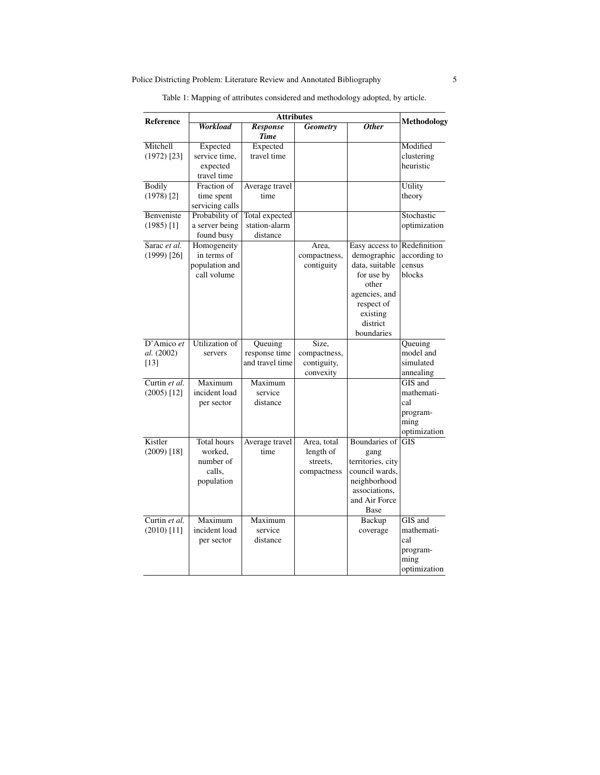| <b>Reference</b>                         | Workload                                                           | <b>Response</b><br><b>Time</b>              | <b>Geometry</b>                                     | <i><b>Other</b></i>                                                                                                                         | Methodology                                                      |
|------------------------------------------|--------------------------------------------------------------------|---------------------------------------------|-----------------------------------------------------|---------------------------------------------------------------------------------------------------------------------------------------------|------------------------------------------------------------------|
| Mitchell<br>$(1972)$ [23]                | Expected<br>service time,<br>expected<br>travel time               | Expected<br>travel time                     |                                                     |                                                                                                                                             | Modified<br>clustering<br>heuristic                              |
| <b>Bodily</b><br>$(1978)$ <sup>[2]</sup> | Fraction of<br>time spent<br>servicing calls                       | Average travel<br>time                      |                                                     |                                                                                                                                             | Utility<br>theory                                                |
| Benveniste<br>$(1985)$ [1]               | Probability of<br>a server being<br>found busy                     | Total expected<br>station-alarm<br>distance |                                                     |                                                                                                                                             | Stochastic<br>optimization                                       |
| Sarac et al.<br>$(1999)$ [26]            | Homogeneity<br>in terms of<br>population and<br>call volume        |                                             | Area,<br>compactness,<br>contiguity                 | Easy access to<br>demographic<br>data, suitable<br>for use by<br>other<br>agencies, and<br>respect of<br>existing<br>district<br>boundaries | Redefinition<br>according to<br>census<br>blocks                 |
| $D'Amico$ et<br>al. (2002)<br>$[13]$     | Utilization of<br>servers                                          | Queuing<br>response time<br>and travel time | Size,<br>compactness,<br>contiguity,<br>convexity   |                                                                                                                                             | Queuing<br>model and<br>simulated<br>annealing                   |
| Curtin et al.<br>$(2005)$ [12]           | Maximum<br>incident load<br>per sector                             | Maximum<br>service<br>distance              |                                                     |                                                                                                                                             | GIS and<br>mathemati-<br>cal<br>program-<br>ming<br>optimization |
| Kistler<br>$(2009)$ [18]                 | <b>Total hours</b><br>worked.<br>number of<br>calls.<br>population | Average travel<br>time                      | Area, total<br>length of<br>streets,<br>compactness | Boundaries of<br>gang<br>territories, city<br>council wards,<br>neighborhood<br>associations.<br>and Air Force<br><b>Base</b>               | $\overline{GIS}$                                                 |
| Curtin et al.<br>$(2010)$ [11]           | Maximum<br>incident load<br>per sector                             | Maximum<br>service<br>distance              |                                                     | Backup<br>coverage                                                                                                                          | GIS and<br>mathemati-<br>cal<br>program-<br>ming<br>optimization |

Table 1: Mapping of attributes considered and methodology adopted, by article.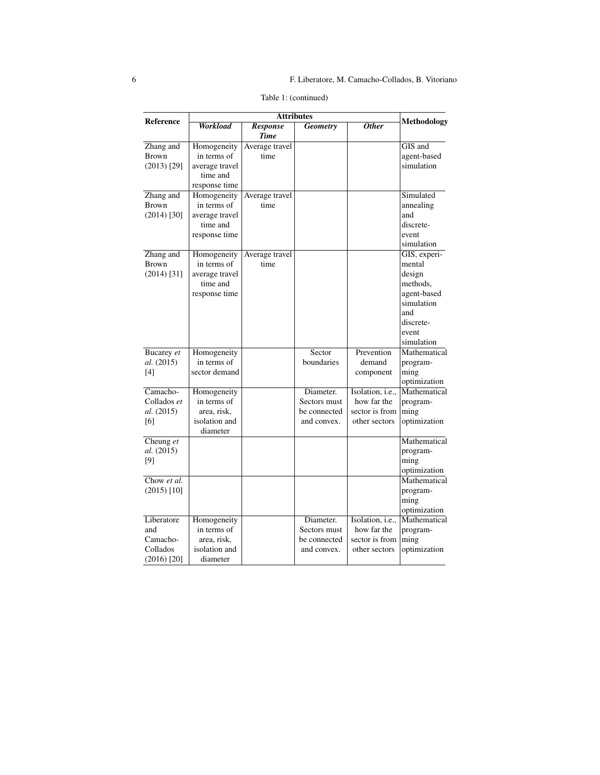|  | Table 1: (continued) |
|--|----------------------|
|--|----------------------|

| <b>Reference</b>                                           | Workload                                                                  | <b>Response</b><br>Time | <b>Geometry</b>                                          | <b>Other</b>                                                       | Methodology                                                                                                          |
|------------------------------------------------------------|---------------------------------------------------------------------------|-------------------------|----------------------------------------------------------|--------------------------------------------------------------------|----------------------------------------------------------------------------------------------------------------------|
| Zhang and<br><b>Brown</b><br>$(2013)$ [29]                 | Homogeneity<br>in terms of<br>average travel<br>time and<br>response time | Average travel<br>time  |                                                          |                                                                    | GIS and<br>agent-based<br>simulation                                                                                 |
| Zhang and<br><b>Brown</b><br>$(2014)$ [30]                 | Homogeneity<br>in terms of<br>average travel<br>time and<br>response time | Average travel<br>time  |                                                          |                                                                    | Simulated<br>annealing<br>and<br>discrete-<br>event<br>simulation                                                    |
| Zhang and<br><b>Brown</b><br>$(2014)$ [31]                 | Homogeneity<br>in terms of<br>average travel<br>time and<br>response time | Average travel<br>time  |                                                          |                                                                    | GIS, experi-<br>mental<br>design<br>methods,<br>agent-based<br>simulation<br>and<br>discrete-<br>event<br>simulation |
| Bucarey et<br><i>al.</i> (2015)<br>[4]                     | Homogeneity<br>in terms of<br>sector demand                               |                         | Sector<br>boundaries                                     | Prevention<br>demand<br>component                                  | Mathematical<br>program-<br>ming<br>optimization                                                                     |
| Camacho-<br>Collados et<br>al. (2015)<br>[6]               | Homogeneity<br>in terms of<br>area, risk,<br>isolation and<br>diameter    |                         | Diameter.<br>Sectors must<br>be connected<br>and convex. | Isolation, i.e.,<br>how far the<br>sector is from<br>other sectors | Mathematical<br>program-<br>ming<br>optimization                                                                     |
| Cheung et<br>al. (2015)<br>[9]                             |                                                                           |                         |                                                          |                                                                    | Mathematical<br>program-<br>ming<br>optimization                                                                     |
| Chow et al.<br>$(2015)$ [10]                               |                                                                           |                         |                                                          |                                                                    | Mathematical<br>program-<br>ming<br>optimization                                                                     |
| Liberatore<br>and<br>Camacho-<br>Collados<br>$(2016)$ [20] | Homogeneity<br>in terms of<br>area, risk,<br>isolation and<br>diameter    |                         | Diameter.<br>Sectors must<br>be connected<br>and convex. | Isolation, i.e.,<br>how far the<br>sector is from<br>other sectors | Mathematical<br>program-<br>ming<br>optimization                                                                     |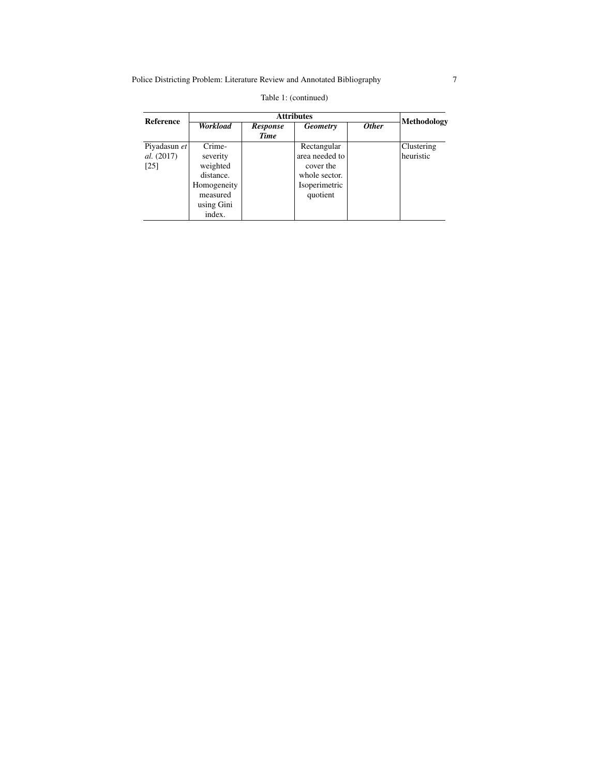| Reference         | <b>Attributes</b> |                 |                 |              | Methodology |
|-------------------|-------------------|-----------------|-----------------|--------------|-------------|
|                   | Workload          | <b>Response</b> | <b>Geometry</b> | <b>Other</b> |             |
|                   |                   | Time            |                 |              |             |
| Piyadasun $et$    | Crime-            |                 | Rectangular     |              | Clustering  |
| <i>al.</i> (2017) | severity          |                 | area needed to  |              | heuristic   |
| $\left[25\right]$ | weighted          |                 | cover the       |              |             |
|                   | distance.         |                 | whole sector.   |              |             |
|                   | Homogeneity       |                 | Isoperimetric   |              |             |
|                   | measured          |                 | quotient        |              |             |
|                   | using Gini        |                 |                 |              |             |
|                   | index.            |                 |                 |              |             |

Table 1: (continued)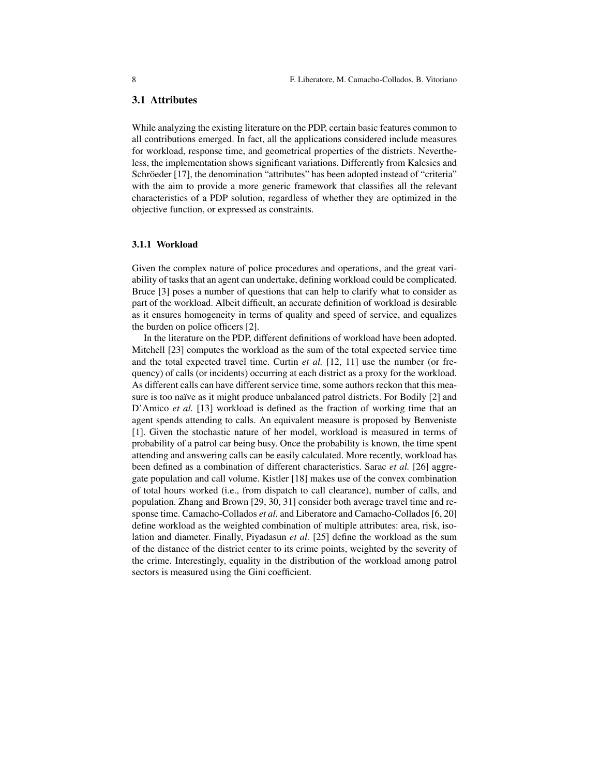#### 3.1 Attributes

While analyzing the existing literature on the PDP, certain basic features common to all contributions emerged. In fact, all the applications considered include measures for workload, response time, and geometrical properties of the districts. Nevertheless, the implementation shows significant variations. Differently from Kalcsics and Schröeder [17], the denomination "attributes" has been adopted instead of "criteria" with the aim to provide a more generic framework that classifies all the relevant characteristics of a PDP solution, regardless of whether they are optimized in the objective function, or expressed as constraints.

#### 3.1.1 Workload

Given the complex nature of police procedures and operations, and the great variability of tasks that an agent can undertake, defining workload could be complicated. Bruce [3] poses a number of questions that can help to clarify what to consider as part of the workload. Albeit difficult, an accurate definition of workload is desirable as it ensures homogeneity in terms of quality and speed of service, and equalizes the burden on police officers [2].

In the literature on the PDP, different definitions of workload have been adopted. Mitchell [23] computes the workload as the sum of the total expected service time and the total expected travel time. Curtin *et al.* [12, 11] use the number (or frequency) of calls (or incidents) occurring at each district as a proxy for the workload. As different calls can have different service time, some authors reckon that this measure is too naïve as it might produce unbalanced patrol districts. For Bodily [2] and D'Amico *et al.* [13] workload is defined as the fraction of working time that an agent spends attending to calls. An equivalent measure is proposed by Benveniste [1]. Given the stochastic nature of her model, workload is measured in terms of probability of a patrol car being busy. Once the probability is known, the time spent attending and answering calls can be easily calculated. More recently, workload has been defined as a combination of different characteristics. Sarac *et al.* [26] aggregate population and call volume. Kistler [18] makes use of the convex combination of total hours worked (i.e., from dispatch to call clearance), number of calls, and population. Zhang and Brown [29, 30, 31] consider both average travel time and response time. Camacho-Collados *et al.* and Liberatore and Camacho-Collados [6, 20] define workload as the weighted combination of multiple attributes: area, risk, isolation and diameter. Finally, Piyadasun *et al.* [25] define the workload as the sum of the distance of the district center to its crime points, weighted by the severity of the crime. Interestingly, equality in the distribution of the workload among patrol sectors is measured using the Gini coefficient.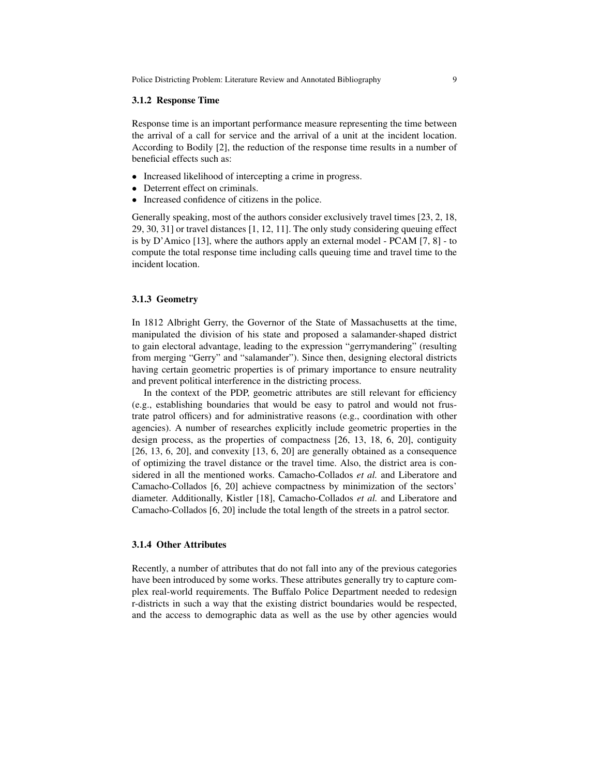#### 3.1.2 Response Time

Response time is an important performance measure representing the time between the arrival of a call for service and the arrival of a unit at the incident location. According to Bodily [2], the reduction of the response time results in a number of beneficial effects such as:

- Increased likelihood of intercepting a crime in progress.
- Deterrent effect on criminals.
- Increased confidence of citizens in the police.

Generally speaking, most of the authors consider exclusively travel times [23, 2, 18, 29, 30, 31] or travel distances [1, 12, 11]. The only study considering queuing effect is by D'Amico [13], where the authors apply an external model - PCAM [7, 8] - to compute the total response time including calls queuing time and travel time to the incident location.

#### 3.1.3 Geometry

In 1812 Albright Gerry, the Governor of the State of Massachusetts at the time, manipulated the division of his state and proposed a salamander-shaped district to gain electoral advantage, leading to the expression "gerrymandering" (resulting from merging "Gerry" and "salamander"). Since then, designing electoral districts having certain geometric properties is of primary importance to ensure neutrality and prevent political interference in the districting process.

In the context of the PDP, geometric attributes are still relevant for efficiency (e.g., establishing boundaries that would be easy to patrol and would not frustrate patrol officers) and for administrative reasons (e.g., coordination with other agencies). A number of researches explicitly include geometric properties in the design process, as the properties of compactness [26, 13, 18, 6, 20], contiguity [26, 13, 6, 20], and convexity [13, 6, 20] are generally obtained as a consequence of optimizing the travel distance or the travel time. Also, the district area is considered in all the mentioned works. Camacho-Collados *et al.* and Liberatore and Camacho-Collados [6, 20] achieve compactness by minimization of the sectors' diameter. Additionally, Kistler [18], Camacho-Collados *et al.* and Liberatore and Camacho-Collados [6, 20] include the total length of the streets in a patrol sector.

#### 3.1.4 Other Attributes

Recently, a number of attributes that do not fall into any of the previous categories have been introduced by some works. These attributes generally try to capture complex real-world requirements. The Buffalo Police Department needed to redesign r-districts in such a way that the existing district boundaries would be respected, and the access to demographic data as well as the use by other agencies would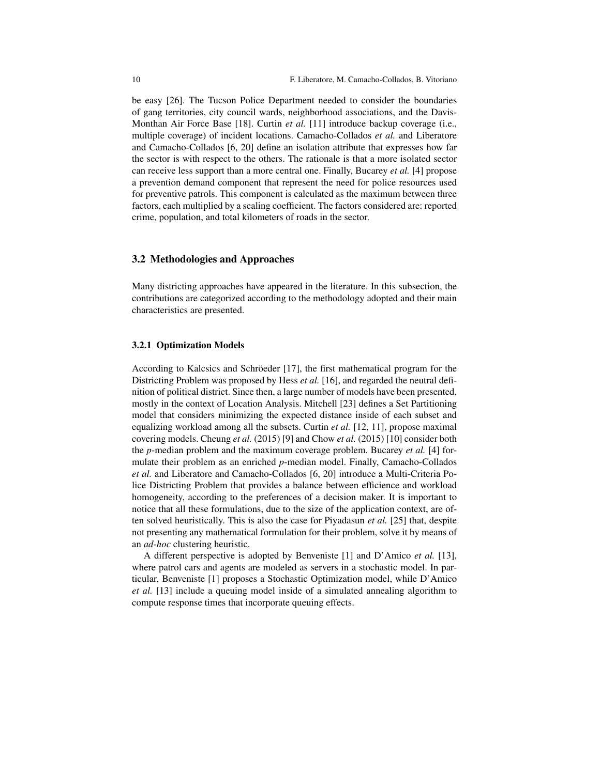be easy [26]. The Tucson Police Department needed to consider the boundaries of gang territories, city council wards, neighborhood associations, and the Davis-Monthan Air Force Base [18]. Curtin *et al.* [11] introduce backup coverage (i.e., multiple coverage) of incident locations. Camacho-Collados *et al.* and Liberatore and Camacho-Collados [6, 20] define an isolation attribute that expresses how far the sector is with respect to the others. The rationale is that a more isolated sector can receive less support than a more central one. Finally, Bucarey *et al.* [4] propose a prevention demand component that represent the need for police resources used for preventive patrols. This component is calculated as the maximum between three factors, each multiplied by a scaling coefficient. The factors considered are: reported crime, population, and total kilometers of roads in the sector.

## 3.2 Methodologies and Approaches

Many districting approaches have appeared in the literature. In this subsection, the contributions are categorized according to the methodology adopted and their main characteristics are presented.

#### 3.2.1 Optimization Models

According to Kalcsics and Schröeder [17], the first mathematical program for the Districting Problem was proposed by Hess *et al.* [16], and regarded the neutral definition of political district. Since then, a large number of models have been presented, mostly in the context of Location Analysis. Mitchell [23] defines a Set Partitioning model that considers minimizing the expected distance inside of each subset and equalizing workload among all the subsets. Curtin *et al.* [12, 11], propose maximal covering models. Cheung *et al.* (2015) [9] and Chow *et al.* (2015) [10] consider both the *p*-median problem and the maximum coverage problem. Bucarey *et al.* [4] formulate their problem as an enriched *p*-median model. Finally, Camacho-Collados *et al.* and Liberatore and Camacho-Collados [6, 20] introduce a Multi-Criteria Police Districting Problem that provides a balance between efficience and workload homogeneity, according to the preferences of a decision maker. It is important to notice that all these formulations, due to the size of the application context, are often solved heuristically. This is also the case for Piyadasun *et al.* [25] that, despite not presenting any mathematical formulation for their problem, solve it by means of an *ad-hoc* clustering heuristic.

A different perspective is adopted by Benveniste [1] and D'Amico *et al.* [13], where patrol cars and agents are modeled as servers in a stochastic model. In particular, Benveniste [1] proposes a Stochastic Optimization model, while D'Amico *et al.* [13] include a queuing model inside of a simulated annealing algorithm to compute response times that incorporate queuing effects.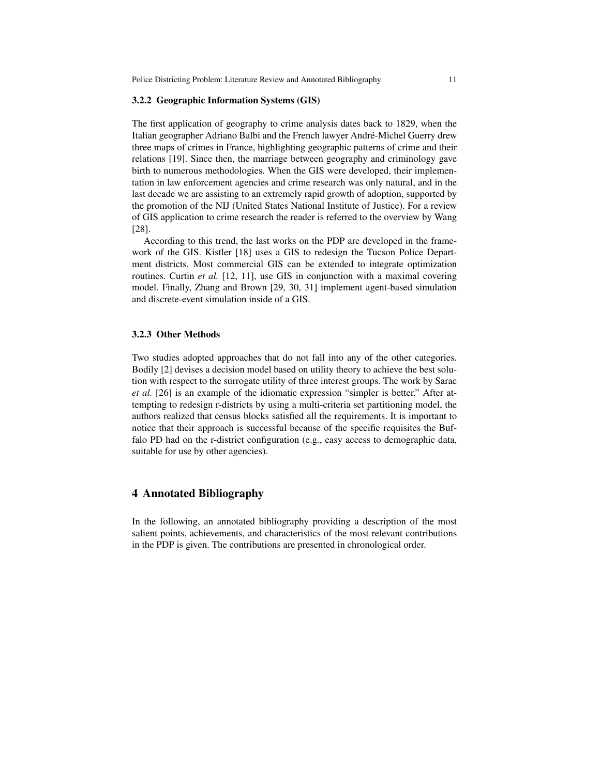#### 3.2.2 Geographic Information Systems (GIS)

The first application of geography to crime analysis dates back to 1829, when the Italian geographer Adriano Balbi and the French lawyer Andre-Michel Guerry drew ´ three maps of crimes in France, highlighting geographic patterns of crime and their relations [19]. Since then, the marriage between geography and criminology gave birth to numerous methodologies. When the GIS were developed, their implementation in law enforcement agencies and crime research was only natural, and in the last decade we are assisting to an extremely rapid growth of adoption, supported by the promotion of the NIJ (United States National Institute of Justice). For a review of GIS application to crime research the reader is referred to the overview by Wang [28].

According to this trend, the last works on the PDP are developed in the framework of the GIS. Kistler [18] uses a GIS to redesign the Tucson Police Department districts. Most commercial GIS can be extended to integrate optimization routines. Curtin *et al.* [12, 11], use GIS in conjunction with a maximal covering model. Finally, Zhang and Brown [29, 30, 31] implement agent-based simulation and discrete-event simulation inside of a GIS.

## 3.2.3 Other Methods

Two studies adopted approaches that do not fall into any of the other categories. Bodily [2] devises a decision model based on utility theory to achieve the best solution with respect to the surrogate utility of three interest groups. The work by Sarac *et al.* [26] is an example of the idiomatic expression "simpler is better." After attempting to redesign r-districts by using a multi-criteria set partitioning model, the authors realized that census blocks satisfied all the requirements. It is important to notice that their approach is successful because of the specific requisites the Buffalo PD had on the r-district configuration (e.g., easy access to demographic data, suitable for use by other agencies).

## 4 Annotated Bibliography

In the following, an annotated bibliography providing a description of the most salient points, achievements, and characteristics of the most relevant contributions in the PDP is given. The contributions are presented in chronological order.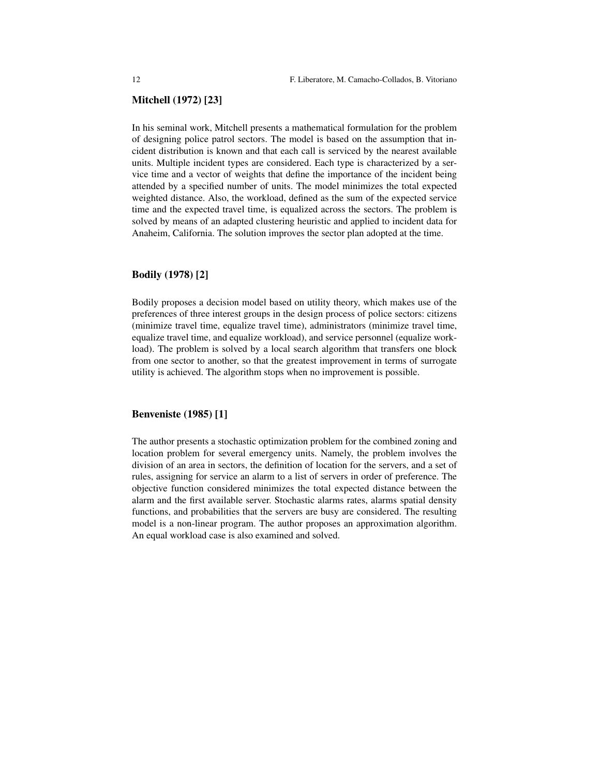#### Mitchell (1972) [23]

In his seminal work, Mitchell presents a mathematical formulation for the problem of designing police patrol sectors. The model is based on the assumption that incident distribution is known and that each call is serviced by the nearest available units. Multiple incident types are considered. Each type is characterized by a service time and a vector of weights that define the importance of the incident being attended by a specified number of units. The model minimizes the total expected weighted distance. Also, the workload, defined as the sum of the expected service time and the expected travel time, is equalized across the sectors. The problem is solved by means of an adapted clustering heuristic and applied to incident data for Anaheim, California. The solution improves the sector plan adopted at the time.

## Bodily (1978) [2]

Bodily proposes a decision model based on utility theory, which makes use of the preferences of three interest groups in the design process of police sectors: citizens (minimize travel time, equalize travel time), administrators (minimize travel time, equalize travel time, and equalize workload), and service personnel (equalize workload). The problem is solved by a local search algorithm that transfers one block from one sector to another, so that the greatest improvement in terms of surrogate utility is achieved. The algorithm stops when no improvement is possible.

## Benveniste (1985) [1]

The author presents a stochastic optimization problem for the combined zoning and location problem for several emergency units. Namely, the problem involves the division of an area in sectors, the definition of location for the servers, and a set of rules, assigning for service an alarm to a list of servers in order of preference. The objective function considered minimizes the total expected distance between the alarm and the first available server. Stochastic alarms rates, alarms spatial density functions, and probabilities that the servers are busy are considered. The resulting model is a non-linear program. The author proposes an approximation algorithm. An equal workload case is also examined and solved.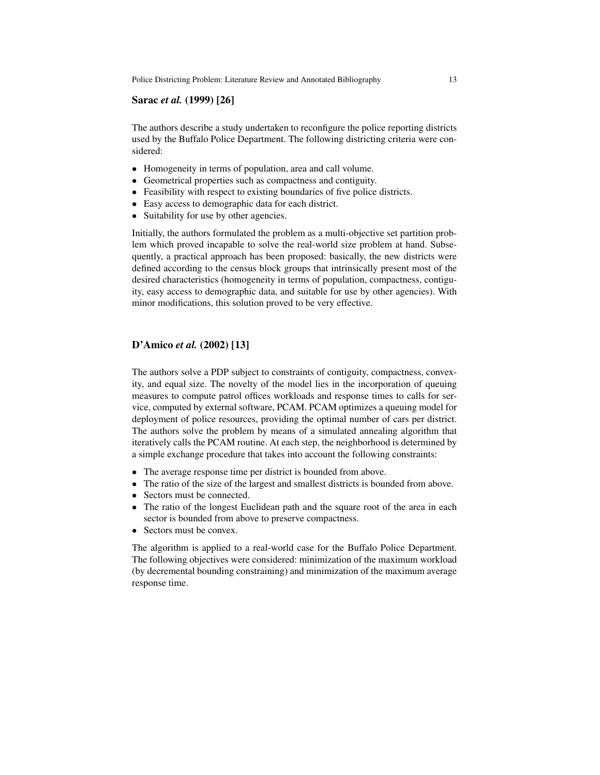#### Sarac *et al.* (1999) [26]

The authors describe a study undertaken to reconfigure the police reporting districts used by the Buffalo Police Department. The following districting criteria were considered:

- Homogeneity in terms of population, area and call volume.
- Geometrical properties such as compactness and contiguity.
- Feasibility with respect to existing boundaries of five police districts.
- Easy access to demographic data for each district.
- Suitability for use by other agencies.

Initially, the authors formulated the problem as a multi-objective set partition problem which proved incapable to solve the real-world size problem at hand. Subsequently, a practical approach has been proposed: basically, the new districts were defined according to the census block groups that intrinsically present most of the desired characteristics (homogeneity in terms of population, compactness, contiguity, easy access to demographic data, and suitable for use by other agencies). With minor modifications, this solution proved to be very effective.

#### D'Amico *et al.* (2002) [13]

The authors solve a PDP subject to constraints of contiguity, compactness, convexity, and equal size. The novelty of the model lies in the incorporation of queuing measures to compute patrol offices workloads and response times to calls for service, computed by external software, PCAM. PCAM optimizes a queuing model for deployment of police resources, providing the optimal number of cars per district. The authors solve the problem by means of a simulated annealing algorithm that iteratively calls the PCAM routine. At each step, the neighborhood is determined by a simple exchange procedure that takes into account the following constraints:

- The average response time per district is bounded from above.
- The ratio of the size of the largest and smallest districts is bounded from above.
- Sectors must be connected.
- The ratio of the longest Euclidean path and the square root of the area in each sector is bounded from above to preserve compactness.
- Sectors must be convex.

The algorithm is applied to a real-world case for the Buffalo Police Department. The following objectives were considered: minimization of the maximum workload (by decremental bounding constraining) and minimization of the maximum average response time.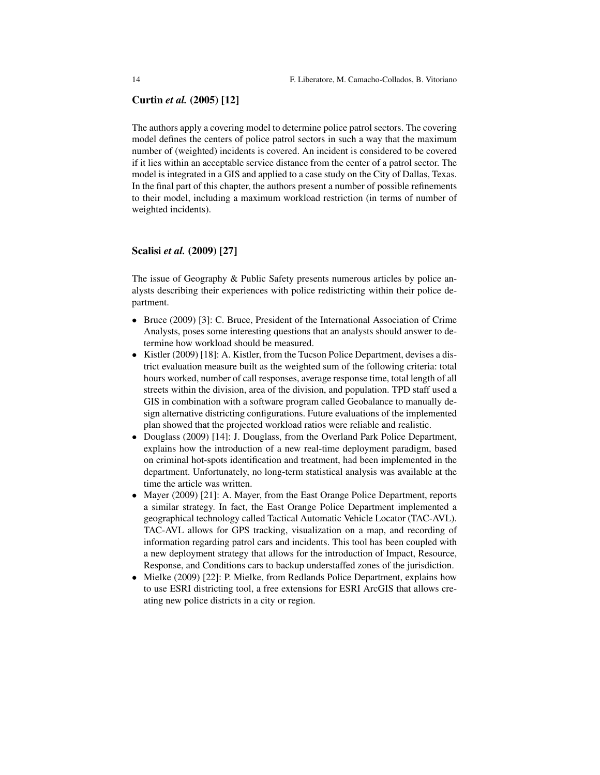#### Curtin *et al.* (2005) [12]

The authors apply a covering model to determine police patrol sectors. The covering model defines the centers of police patrol sectors in such a way that the maximum number of (weighted) incidents is covered. An incident is considered to be covered if it lies within an acceptable service distance from the center of a patrol sector. The model is integrated in a GIS and applied to a case study on the City of Dallas, Texas. In the final part of this chapter, the authors present a number of possible refinements to their model, including a maximum workload restriction (in terms of number of weighted incidents).

#### Scalisi *et al.* (2009) [27]

The issue of Geography & Public Safety presents numerous articles by police analysts describing their experiences with police redistricting within their police department.

- Bruce (2009) [3]: C. Bruce, President of the International Association of Crime Analysts, poses some interesting questions that an analysts should answer to determine how workload should be measured.
- Kistler (2009) [18]: A. Kistler, from the Tucson Police Department, devises a district evaluation measure built as the weighted sum of the following criteria: total hours worked, number of call responses, average response time, total length of all streets within the division, area of the division, and population. TPD staff used a GIS in combination with a software program called Geobalance to manually design alternative districting configurations. Future evaluations of the implemented plan showed that the projected workload ratios were reliable and realistic.
- Douglass (2009) [14]: J. Douglass, from the Overland Park Police Department, explains how the introduction of a new real-time deployment paradigm, based on criminal hot-spots identification and treatment, had been implemented in the department. Unfortunately, no long-term statistical analysis was available at the time the article was written.
- Mayer (2009) [21]: A. Mayer, from the East Orange Police Department, reports a similar strategy. In fact, the East Orange Police Department implemented a geographical technology called Tactical Automatic Vehicle Locator (TAC-AVL). TAC-AVL allows for GPS tracking, visualization on a map, and recording of information regarding patrol cars and incidents. This tool has been coupled with a new deployment strategy that allows for the introduction of Impact, Resource, Response, and Conditions cars to backup understaffed zones of the jurisdiction.
- Mielke (2009) [22]: P. Mielke, from Redlands Police Department, explains how to use ESRI districting tool, a free extensions for ESRI ArcGIS that allows creating new police districts in a city or region.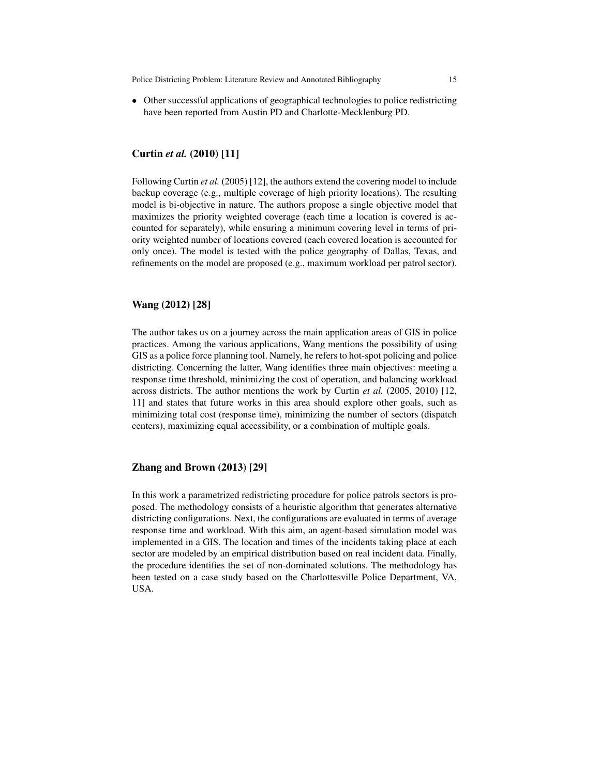• Other successful applications of geographical technologies to police redistricting have been reported from Austin PD and Charlotte-Mecklenburg PD.

#### Curtin *et al.* (2010) [11]

Following Curtin *et al.* (2005) [12], the authors extend the covering model to include backup coverage (e.g., multiple coverage of high priority locations). The resulting model is bi-objective in nature. The authors propose a single objective model that maximizes the priority weighted coverage (each time a location is covered is accounted for separately), while ensuring a minimum covering level in terms of priority weighted number of locations covered (each covered location is accounted for only once). The model is tested with the police geography of Dallas, Texas, and refinements on the model are proposed (e.g., maximum workload per patrol sector).

#### Wang (2012) [28]

The author takes us on a journey across the main application areas of GIS in police practices. Among the various applications, Wang mentions the possibility of using GIS as a police force planning tool. Namely, he refers to hot-spot policing and police districting. Concerning the latter, Wang identifies three main objectives: meeting a response time threshold, minimizing the cost of operation, and balancing workload across districts. The author mentions the work by Curtin *et al.* (2005, 2010) [12, 11] and states that future works in this area should explore other goals, such as minimizing total cost (response time), minimizing the number of sectors (dispatch centers), maximizing equal accessibility, or a combination of multiple goals.

## Zhang and Brown (2013) [29]

In this work a parametrized redistricting procedure for police patrols sectors is proposed. The methodology consists of a heuristic algorithm that generates alternative districting configurations. Next, the configurations are evaluated in terms of average response time and workload. With this aim, an agent-based simulation model was implemented in a GIS. The location and times of the incidents taking place at each sector are modeled by an empirical distribution based on real incident data. Finally, the procedure identifies the set of non-dominated solutions. The methodology has been tested on a case study based on the Charlottesville Police Department, VA, USA.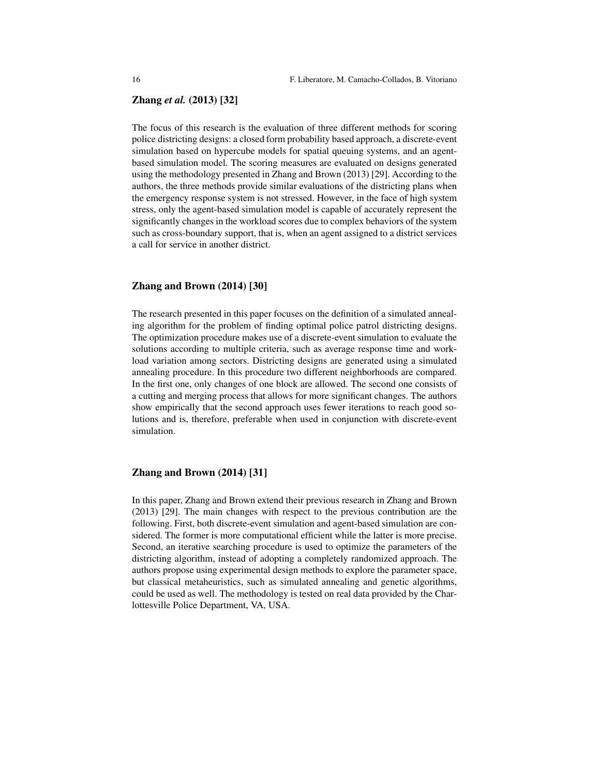#### Zhang *et al.* (2013) [32]

The focus of this research is the evaluation of three different methods for scoring police districting designs: a closed form probability based approach, a discrete-event simulation based on hypercube models for spatial queuing systems, and an agentbased simulation model. The scoring measures are evaluated on designs generated using the methodology presented in Zhang and Brown (2013) [29]. According to the authors, the three methods provide similar evaluations of the districting plans when the emergency response system is not stressed. However, in the face of high system stress, only the agent-based simulation model is capable of accurately represent the significantly changes in the workload scores due to complex behaviors of the system such as cross-boundary support, that is, when an agent assigned to a district services a call for service in another district.

#### Zhang and Brown (2014) [30]

The research presented in this paper focuses on the definition of a simulated annealing algorithm for the problem of finding optimal police patrol districting designs. The optimization procedure makes use of a discrete-event simulation to evaluate the solutions according to multiple criteria, such as average response time and workload variation among sectors. Districting designs are generated using a simulated annealing procedure. In this procedure two different neighborhoods are compared. In the first one, only changes of one block are allowed. The second one consists of a cutting and merging process that allows for more significant changes. The authors show empirically that the second approach uses fewer iterations to reach good solutions and is, therefore, preferable when used in conjunction with discrete-event simulation.

## Zhang and Brown (2014) [31]

In this paper, Zhang and Brown extend their previous research in Zhang and Brown (2013) [29]. The main changes with respect to the previous contribution are the following. First, both discrete-event simulation and agent-based simulation are considered. The former is more computational efficient while the latter is more precise. Second, an iterative searching procedure is used to optimize the parameters of the districting algorithm, instead of adopting a completely randomized approach. The authors propose using experimental design methods to explore the parameter space, but classical metaheuristics, such as simulated annealing and genetic algorithms, could be used as well. The methodology is tested on real data provided by the Charlottesville Police Department, VA, USA.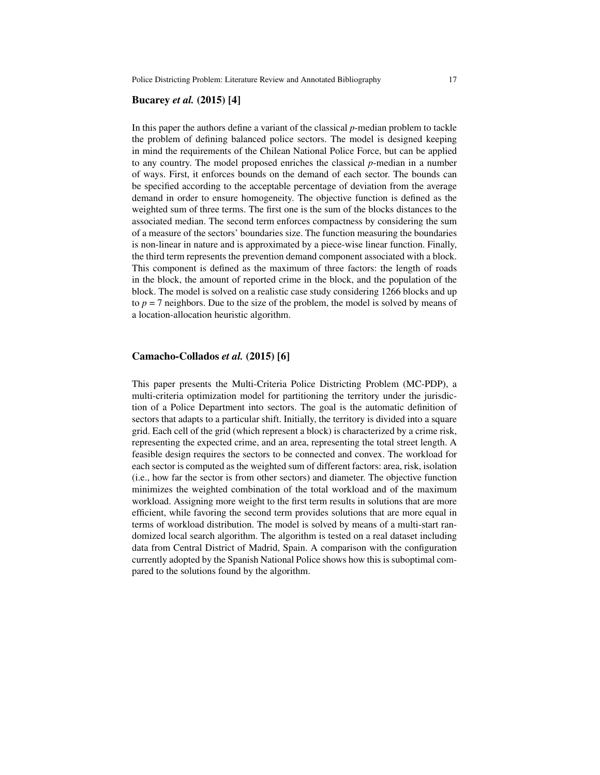## Bucarey *et al.* (2015) [4]

In this paper the authors define a variant of the classical *p*-median problem to tackle the problem of defining balanced police sectors. The model is designed keeping in mind the requirements of the Chilean National Police Force, but can be applied to any country. The model proposed enriches the classical *p*-median in a number of ways. First, it enforces bounds on the demand of each sector. The bounds can be specified according to the acceptable percentage of deviation from the average demand in order to ensure homogeneity. The objective function is defined as the weighted sum of three terms. The first one is the sum of the blocks distances to the associated median. The second term enforces compactness by considering the sum of a measure of the sectors' boundaries size. The function measuring the boundaries is non-linear in nature and is approximated by a piece-wise linear function. Finally, the third term represents the prevention demand component associated with a block. This component is defined as the maximum of three factors: the length of roads in the block, the amount of reported crime in the block, and the population of the block. The model is solved on a realistic case study considering 1266 blocks and up to  $p = 7$  neighbors. Due to the size of the problem, the model is solved by means of a location-allocation heuristic algorithm.

#### Camacho-Collados *et al.* (2015) [6]

This paper presents the Multi-Criteria Police Districting Problem (MC-PDP), a multi-criteria optimization model for partitioning the territory under the jurisdiction of a Police Department into sectors. The goal is the automatic definition of sectors that adapts to a particular shift. Initially, the territory is divided into a square grid. Each cell of the grid (which represent a block) is characterized by a crime risk, representing the expected crime, and an area, representing the total street length. A feasible design requires the sectors to be connected and convex. The workload for each sector is computed as the weighted sum of different factors: area, risk, isolation (i.e., how far the sector is from other sectors) and diameter. The objective function minimizes the weighted combination of the total workload and of the maximum workload. Assigning more weight to the first term results in solutions that are more efficient, while favoring the second term provides solutions that are more equal in terms of workload distribution. The model is solved by means of a multi-start randomized local search algorithm. The algorithm is tested on a real dataset including data from Central District of Madrid, Spain. A comparison with the configuration currently adopted by the Spanish National Police shows how this is suboptimal compared to the solutions found by the algorithm.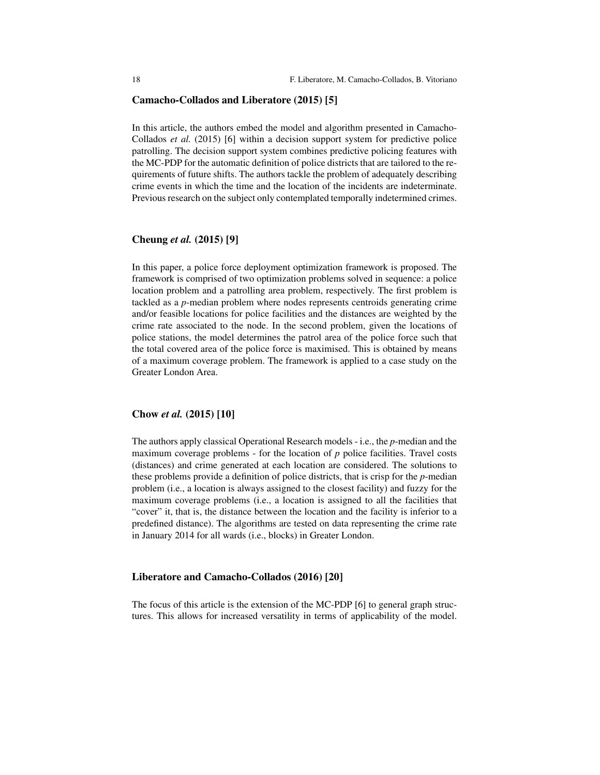#### Camacho-Collados and Liberatore (2015) [5]

In this article, the authors embed the model and algorithm presented in Camacho-Collados *et al.* (2015) [6] within a decision support system for predictive police patrolling. The decision support system combines predictive policing features with the MC-PDP for the automatic definition of police districts that are tailored to the requirements of future shifts. The authors tackle the problem of adequately describing crime events in which the time and the location of the incidents are indeterminate. Previous research on the subject only contemplated temporally indetermined crimes.

## Cheung *et al.* (2015) [9]

In this paper, a police force deployment optimization framework is proposed. The framework is comprised of two optimization problems solved in sequence: a police location problem and a patrolling area problem, respectively. The first problem is tackled as a *p*-median problem where nodes represents centroids generating crime and/or feasible locations for police facilities and the distances are weighted by the crime rate associated to the node. In the second problem, given the locations of police stations, the model determines the patrol area of the police force such that the total covered area of the police force is maximised. This is obtained by means of a maximum coverage problem. The framework is applied to a case study on the Greater London Area.

## Chow *et al.* (2015) [10]

The authors apply classical Operational Research models - i.e., the *p*-median and the maximum coverage problems - for the location of *p* police facilities. Travel costs (distances) and crime generated at each location are considered. The solutions to these problems provide a definition of police districts, that is crisp for the *p*-median problem (i.e., a location is always assigned to the closest facility) and fuzzy for the maximum coverage problems (i.e., a location is assigned to all the facilities that "cover" it, that is, the distance between the location and the facility is inferior to a predefined distance). The algorithms are tested on data representing the crime rate in January 2014 for all wards (i.e., blocks) in Greater London.

#### Liberatore and Camacho-Collados (2016) [20]

The focus of this article is the extension of the MC-PDP [6] to general graph structures. This allows for increased versatility in terms of applicability of the model.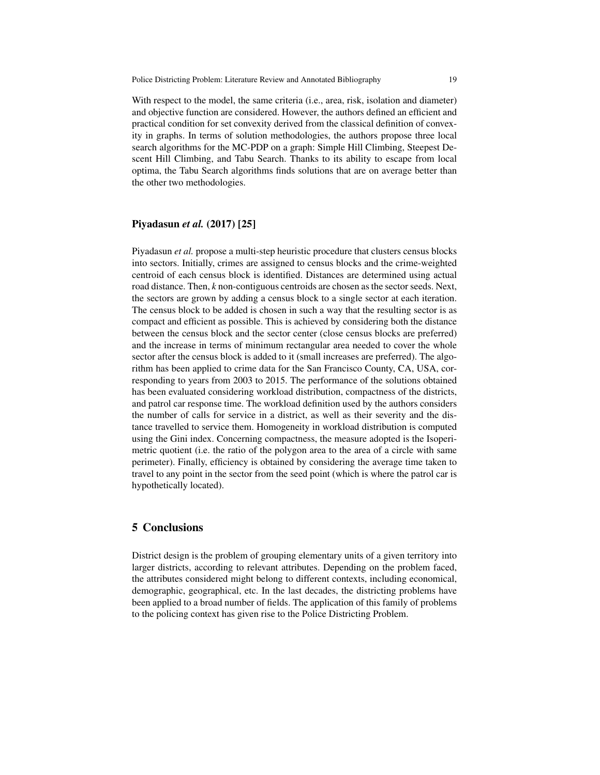With respect to the model, the same criteria (i.e., area, risk, isolation and diameter) and objective function are considered. However, the authors defined an efficient and practical condition for set convexity derived from the classical definition of convexity in graphs. In terms of solution methodologies, the authors propose three local search algorithms for the MC-PDP on a graph: Simple Hill Climbing, Steepest Descent Hill Climbing, and Tabu Search. Thanks to its ability to escape from local optima, the Tabu Search algorithms finds solutions that are on average better than the other two methodologies.

## Piyadasun *et al.* (2017) [25]

Piyadasun *et al.* propose a multi-step heuristic procedure that clusters census blocks into sectors. Initially, crimes are assigned to census blocks and the crime-weighted centroid of each census block is identified. Distances are determined using actual road distance. Then, *k* non-contiguous centroids are chosen as the sector seeds. Next, the sectors are grown by adding a census block to a single sector at each iteration. The census block to be added is chosen in such a way that the resulting sector is as compact and efficient as possible. This is achieved by considering both the distance between the census block and the sector center (close census blocks are preferred) and the increase in terms of minimum rectangular area needed to cover the whole sector after the census block is added to it (small increases are preferred). The algorithm has been applied to crime data for the San Francisco County, CA, USA, corresponding to years from 2003 to 2015. The performance of the solutions obtained has been evaluated considering workload distribution, compactness of the districts, and patrol car response time. The workload definition used by the authors considers the number of calls for service in a district, as well as their severity and the distance travelled to service them. Homogeneity in workload distribution is computed using the Gini index. Concerning compactness, the measure adopted is the Isoperimetric quotient (i.e. the ratio of the polygon area to the area of a circle with same perimeter). Finally, efficiency is obtained by considering the average time taken to travel to any point in the sector from the seed point (which is where the patrol car is hypothetically located).

# 5 Conclusions

District design is the problem of grouping elementary units of a given territory into larger districts, according to relevant attributes. Depending on the problem faced, the attributes considered might belong to different contexts, including economical, demographic, geographical, etc. In the last decades, the districting problems have been applied to a broad number of fields. The application of this family of problems to the policing context has given rise to the Police Districting Problem.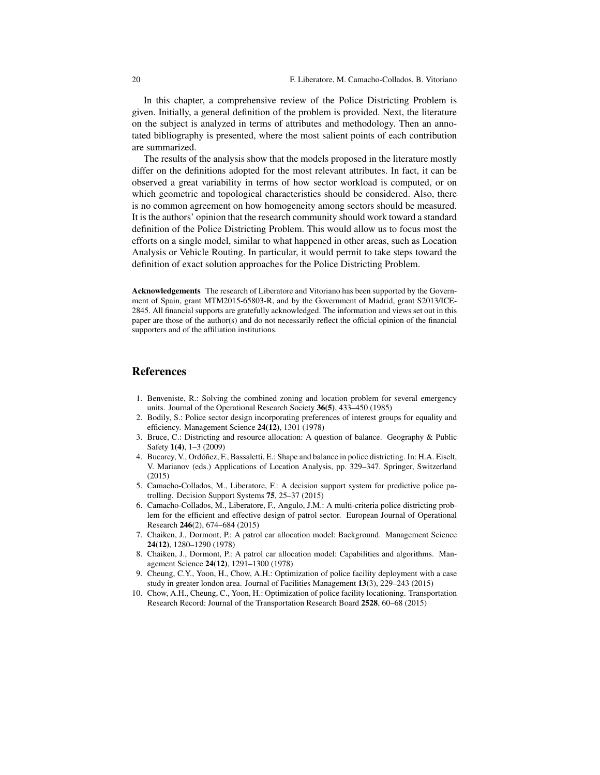In this chapter, a comprehensive review of the Police Districting Problem is given. Initially, a general definition of the problem is provided. Next, the literature on the subject is analyzed in terms of attributes and methodology. Then an annotated bibliography is presented, where the most salient points of each contribution are summarized.

The results of the analysis show that the models proposed in the literature mostly differ on the definitions adopted for the most relevant attributes. In fact, it can be observed a great variability in terms of how sector workload is computed, or on which geometric and topological characteristics should be considered. Also, there is no common agreement on how homogeneity among sectors should be measured. It is the authors' opinion that the research community should work toward a standard definition of the Police Districting Problem. This would allow us to focus most the efforts on a single model, similar to what happened in other areas, such as Location Analysis or Vehicle Routing. In particular, it would permit to take steps toward the definition of exact solution approaches for the Police Districting Problem.

Acknowledgements The research of Liberatore and Vitoriano has been supported by the Government of Spain, grant MTM2015-65803-R, and by the Government of Madrid, grant S2013/ICE-2845. All financial supports are gratefully acknowledged. The information and views set out in this paper are those of the author(s) and do not necessarily reflect the official opinion of the financial supporters and of the affiliation institutions.

## References

- 1. Benveniste, R.: Solving the combined zoning and location problem for several emergency units. Journal of the Operational Research Society 36(5), 433–450 (1985)
- 2. Bodily, S.: Police sector design incorporating preferences of interest groups for equality and efficiency. Management Science 24(12), 1301 (1978)
- 3. Bruce, C.: Districting and resource allocation: A question of balance. Geography & Public Safety 1(4), 1–3 (2009)
- 4. Bucarey, V., Ordóñez, F., Bassaletti, E.: Shape and balance in police districting. In: H.A. Eiselt, V. Marianov (eds.) Applications of Location Analysis, pp. 329–347. Springer, Switzerland (2015)
- 5. Camacho-Collados, M., Liberatore, F.: A decision support system for predictive police patrolling. Decision Support Systems 75, 25–37 (2015)
- 6. Camacho-Collados, M., Liberatore, F., Angulo, J.M.: A multi-criteria police districting problem for the efficient and effective design of patrol sector. European Journal of Operational Research 246(2), 674–684 (2015)
- 7. Chaiken, J., Dormont, P.: A patrol car allocation model: Background. Management Science 24(12), 1280–1290 (1978)
- 8. Chaiken, J., Dormont, P.: A patrol car allocation model: Capabilities and algorithms. Management Science 24(12), 1291–1300 (1978)
- 9. Cheung, C.Y., Yoon, H., Chow, A.H.: Optimization of police facility deployment with a case study in greater london area. Journal of Facilities Management 13(3), 229–243 (2015)
- 10. Chow, A.H., Cheung, C., Yoon, H.: Optimization of police facility locationing. Transportation Research Record: Journal of the Transportation Research Board 2528, 60–68 (2015)